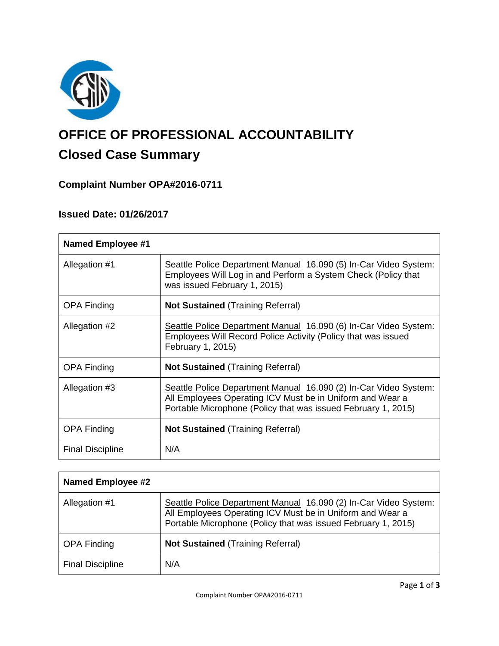

# **OFFICE OF PROFESSIONAL ACCOUNTABILITY Closed Case Summary**

## **Complaint Number OPA#2016-0711**

## **Issued Date: 01/26/2017**

| <b>Named Employee #1</b> |                                                                                                                                                                                                |
|--------------------------|------------------------------------------------------------------------------------------------------------------------------------------------------------------------------------------------|
| Allegation #1            | Seattle Police Department Manual 16.090 (5) In-Car Video System:<br>Employees Will Log in and Perform a System Check (Policy that<br>was issued February 1, 2015)                              |
| <b>OPA Finding</b>       | <b>Not Sustained (Training Referral)</b>                                                                                                                                                       |
| Allegation #2            | Seattle Police Department Manual 16.090 (6) In-Car Video System:<br>Employees Will Record Police Activity (Policy that was issued<br>February 1, 2015)                                         |
| <b>OPA Finding</b>       | <b>Not Sustained (Training Referral)</b>                                                                                                                                                       |
| Allegation #3            | Seattle Police Department Manual 16.090 (2) In-Car Video System:<br>All Employees Operating ICV Must be in Uniform and Wear a<br>Portable Microphone (Policy that was issued February 1, 2015) |
| <b>OPA Finding</b>       | <b>Not Sustained</b> (Training Referral)                                                                                                                                                       |
| <b>Final Discipline</b>  | N/A                                                                                                                                                                                            |

| <b>Named Employee #2</b> |                                                                                                                                                                                                |
|--------------------------|------------------------------------------------------------------------------------------------------------------------------------------------------------------------------------------------|
| Allegation #1            | Seattle Police Department Manual 16.090 (2) In-Car Video System:<br>All Employees Operating ICV Must be in Uniform and Wear a<br>Portable Microphone (Policy that was issued February 1, 2015) |
| <b>OPA Finding</b>       | <b>Not Sustained (Training Referral)</b>                                                                                                                                                       |
| <b>Final Discipline</b>  | N/A                                                                                                                                                                                            |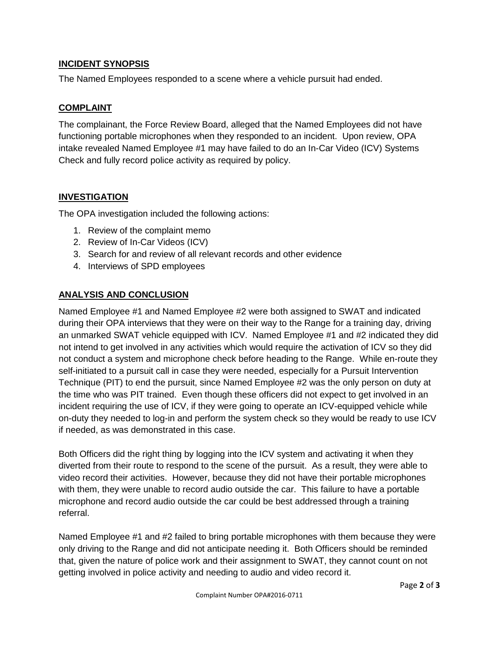## **INCIDENT SYNOPSIS**

The Named Employees responded to a scene where a vehicle pursuit had ended.

## **COMPLAINT**

The complainant, the Force Review Board, alleged that the Named Employees did not have functioning portable microphones when they responded to an incident. Upon review, OPA intake revealed Named Employee #1 may have failed to do an In-Car Video (ICV) Systems Check and fully record police activity as required by policy.

## **INVESTIGATION**

The OPA investigation included the following actions:

- 1. Review of the complaint memo
- 2. Review of In-Car Videos (ICV)
- 3. Search for and review of all relevant records and other evidence
- 4. Interviews of SPD employees

## **ANALYSIS AND CONCLUSION**

Named Employee #1 and Named Employee #2 were both assigned to SWAT and indicated during their OPA interviews that they were on their way to the Range for a training day, driving an unmarked SWAT vehicle equipped with ICV. Named Employee #1 and #2 indicated they did not intend to get involved in any activities which would require the activation of ICV so they did not conduct a system and microphone check before heading to the Range. While en-route they self-initiated to a pursuit call in case they were needed, especially for a Pursuit Intervention Technique (PIT) to end the pursuit, since Named Employee #2 was the only person on duty at the time who was PIT trained. Even though these officers did not expect to get involved in an incident requiring the use of ICV, if they were going to operate an ICV-equipped vehicle while on-duty they needed to log-in and perform the system check so they would be ready to use ICV if needed, as was demonstrated in this case.

Both Officers did the right thing by logging into the ICV system and activating it when they diverted from their route to respond to the scene of the pursuit. As a result, they were able to video record their activities. However, because they did not have their portable microphones with them, they were unable to record audio outside the car. This failure to have a portable microphone and record audio outside the car could be best addressed through a training referral.

Named Employee #1 and #2 failed to bring portable microphones with them because they were only driving to the Range and did not anticipate needing it. Both Officers should be reminded that, given the nature of police work and their assignment to SWAT, they cannot count on not getting involved in police activity and needing to audio and video record it.